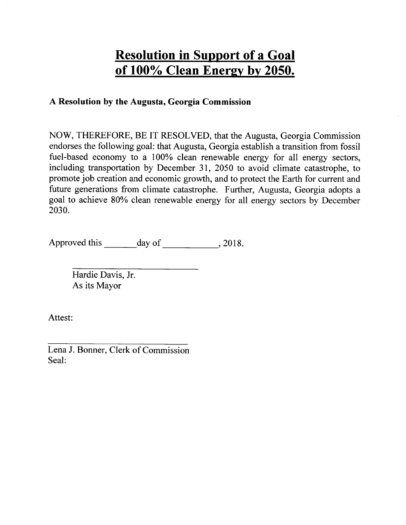# Resolution in Support of a Goal of 100% Clean Energy by 2050.

#### A Resolution by the Augusta, Georgia Commission

NOW, THEREFORE, BE IT RESOLVED, that the Augusta, Georgia Commission endorses the following goal: that Augusta, Georgia establish a transition from fossil fuel-based economy to a 100% clean renewable energy for all energy sectors, including transportation by December 31, 2050 to avoid climate catastrophe, to promote job creation and economic growth, and to protect the Earth for current and future generations from climate catastrophe. Further, Augusta, Georgia adopts a goal to achieve 80Yo clean renewable energy for all energy sectors by December 2030.

Approved this \_\_\_\_\_\_ day of \_\_\_\_\_\_\_\_\_\_\_, 2018.

Hardie Davis, Jr. As its Mayor

Attest:

Lena J. Bonner, Clerk of Commission Seal: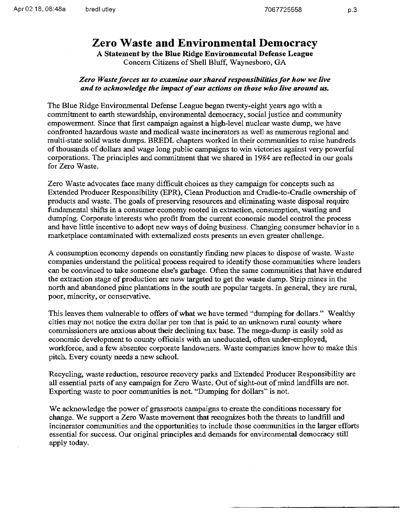### Zero Waste and Environmental Democracy

A Statement by the BIue Ridge Environmental Defense League Concern Citizens of Shell Bluff, Waynesboro, GA

#### Zero Waste forces us to examine our shared responsibilities for how we live and to acknowledge the impaet of our actians on those who live around us.

The Blue Ridge Environmental Defense League began twenty-eight years ago with a commitment to earth stewardship, environmental democracy, social justice and community empowerment. Since that frst campaign against a high-level nuclear waste dump, we have confronted hazardous waste and medical waste incinerators as well as numerous regional and rnulti-state solid waste dumps. BREDL chapters worked in their communities to raise hundreds of thousands of dollars and wage long public campaigns to win victories against very powerful corporations. The principles and commitment that we shared in 1984 are reflected in our goals for Zero Waste.

Zero Waste advocates face many difficutt choices as they campaign for concepts such as Extended Producer Responsibility (EPR), Clean Production and Cradle-to-Cradle ownership of products and waste. The goals of preserving resources and eliminating waste disposal require fundamental shifts in a consumer economy rooted in extraction, consumption, wasting and dumping. Corporate interests who profit from the current economic model control the process and have little incentive to adopt new ways of doing business. Changing consumer behavior in a marketplace contaminated with externalized costs presents an even greater challenge.

A consumption economy depends on constantly finding new places to dispose of waste. Waste companies understand the political process required to identify those communities where leaders can be convinced to take someone else's garbage. Often the sarne communities that have endured the extraction stage of production are now targeted to get the waste dump. Strip mines in the north and abandoned pine plantations in the south are popular targets. In general, they are rural, poor, minority, or conservative.

This leaves them vulnerable to offers of what we have termed "dumping for dollars." Wealthy cities may not notice the extra dollar per ton that is paid to an unknown rural county where commissioners are anxious about their declining tax base. The mega-dump is easily sold as economic development to county officials with an uneducated, often under-employed, workforce, and a few absentee corporate landowners. Waste companies know how to make this pitch. Every counfy needs a new school.

Recycling, waste reduction, resource recovery parks and Extended Producer Responsibility are all essential parts of any campaign for Zero Waste. Out of sight-out of mind landfills are not. Exporting waste to poor communities is not. "Dumping for dollars" is not.

We acknowledge the power of grassroots campaigns to create the conditions necessary for change. We support a Zero Waste movement that recognizes both the threats to landfill and incinerator cornmunities and the opportunities to include those communities in the larger efforts essential for success. Our original principles and demands for environmental democracy still apply today.